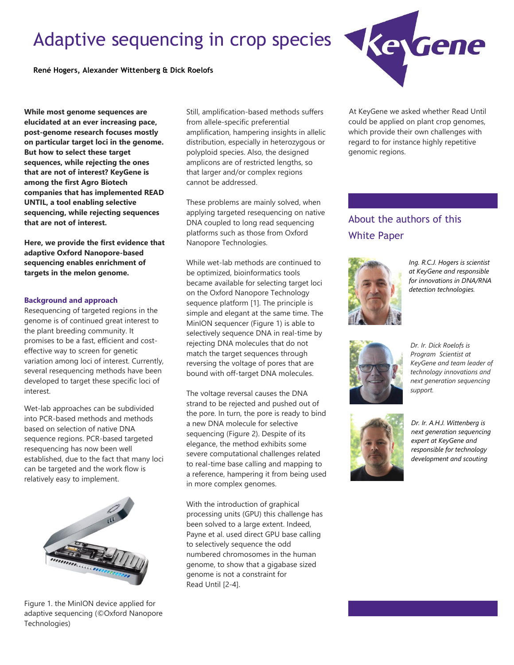# Adaptive sequencing in crop species



**While most genome sequences are elucidated at an ever increasing pace, post-genome research focuses mostly on particular target loci in the genome. But how to select these target sequences, while rejecting the ones that are not of interest? KeyGene is among the first Agro Biotech companies that has implemented READ UNTIL, a tool enabling selective sequencing, while rejecting sequences that are not of interest.**

**Here, we provide the first evidence that adaptive Oxford Nanopore-based sequencing enables enrichment of targets in the melon genome.**

### **Background and approach**

Resequencing of targeted regions in the genome is of continued great interest to the plant breeding community. It promises to be a fast, efficient and costeffective way to screen for genetic variation among loci of interest. Currently, several resequencing methods have been developed to target these specific loci of interest.

Wet-lab approaches can be subdivided into PCR-based methods and methods based on selection of native DNA sequence regions. PCR-based targeted resequencing has now been well established, due to the fact that many loci can be targeted and the work flow is relatively easy to implement.



Figure 1. the MinION device applied for adaptive sequencing (©Oxford Nanopore Technologies)

Still, amplification-based methods suffers from allele-specific preferential amplification, hampering insights in allelic distribution, especially in heterozygous or polyploid species. Also, the designed amplicons are of restricted lengths, so that larger and/or complex regions cannot be addressed.

These problems are mainly solved, when applying targeted resequencing on native DNA coupled to long read sequencing platforms such as those from Oxford Nanopore Technologies.

While wet-lab methods are continued to be optimized, bioinformatics tools became available for selecting target loci on the Oxford Nanopore Technology sequence platform [1]. The principle is simple and elegant at the same time. The MinION sequencer (Figure 1) is able to selectively sequence DNA in real-time by rejecting DNA molecules that do not match the target sequences through reversing the voltage of pores that are bound with off-target DNA molecules.

The voltage reversal causes the DNA strand to be rejected and pushed out of the pore. In turn, the pore is ready to bind a new DNA molecule for selective sequencing (Figure 2). Despite of its elegance, the method exhibits some severe computational challenges related to real-time base calling and mapping to a reference, hampering it from being used in more complex genomes.

With the introduction of graphical processing units (GPU) this challenge has been solved to a large extent. Indeed, Payne et al. used direct GPU base calling to selectively sequence the odd numbered chromosomes in the human genome, to show that a gigabase sized genome is not a constraint for Read Until [2-4].



At KeyGene we asked whether Read Until could be applied on plant crop genomes, which provide their own challenges with regard to for instance highly repetitive genomic regions.

# About the authors of this White Paper



*Ing. R.C.J. Hogers is scientist at KeyGene and responsible for innovations in DNA/RNA detection technologies.*



*Dr. Ir. Dick Roelofs is Program Scientist at KeyGene and team leader of technology innovations and next generation sequencing support.*



*Dr. Ir. A.H.J. Wittenberg is next generation sequencing expert at KeyGene and responsible for technology development and scouting*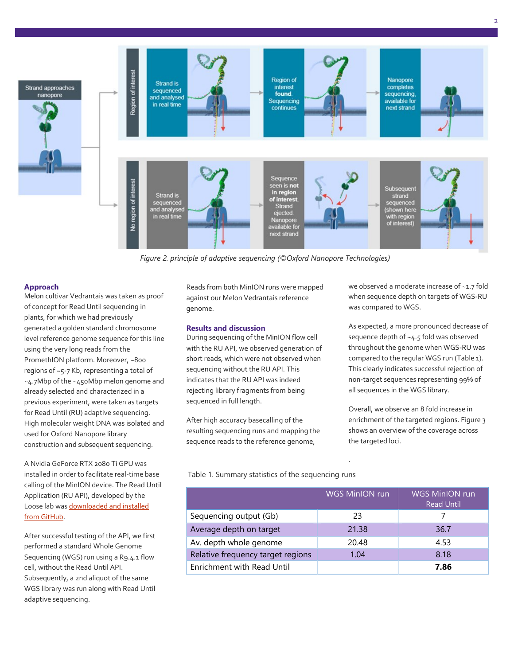

*Figure 2. principle of adaptive sequencing (©Oxford Nanopore Technologies)*

#### **Approach**

Melon cultivar Vedrantais was taken as proof of concept for Read Until sequencing in plants, for which we had previously generated a golden standard chromosome level reference genome sequence for this line using the very long reads from the PromethION platform. Moreover, ~800 regions of ~5-7 Kb, representing a total of ~4.7Mbp of the ~450Mbp melon genome and already selected and characterized in a previous experiment, were taken as targets for Read Until (RU) adaptive sequencing. High molecular weight DNA was isolated and used for Oxford Nanopore library construction and subsequent sequencing.

A Nvidia GeForce RTX 2080 Ti GPU was installed in order to facilitate real-time base calling of the MinION device. The Read Until Application (RU API), developed by the Loose lab was downloaded and installed [from GitHub.](https://github.com/LooseLab/ru)

After successful testing of the API, we first performed a standard Whole Genome Sequencing (WGS) run using a R9.4.1 flow cell, without the Read Until API. Subsequently, a 2nd aliquot of the same WGS library was run along with Read Until adaptive sequencing.

Reads from both MinION runs were mapped against our Melon Vedrantais reference genome.

#### **Results and discussion**

During sequencing of the MinION flow cell with the RU API, we observed generation of short reads, which were not observed when sequencing without the RU API. This indicates that the RU API was indeed rejecting library fragments from being sequenced in full length.

After high accuracy basecalling of the resulting sequencing runs and mapping the sequence reads to the reference genome,

Table 1. Summary statistics of the sequencing runs

we observed a moderate increase of ~1.7 fold when sequence depth on targets of WGS-RU was compared to WGS.

As expected, a more pronounced decrease of sequence depth of ~4.5 fold was observed throughout the genome when WGS-RU was compared to the regular WGS run (Table 1). This clearly indicates successful rejection of non-target sequences representing 99% of all sequences in the WGS library.

Overall, we observe an 8 fold increase in enrichment of the targeted regions. Figure 3 shows an overview of the coverage across the targeted loci.

|                                   | <b>WGS MinION run</b> | <b>WGS MinION run</b><br><b>Read Until</b> |
|-----------------------------------|-----------------------|--------------------------------------------|
| Sequencing output (Gb)            | 23                    |                                            |
| Average depth on target           | 21.38                 | 36.7                                       |
| Av. depth whole genome            | 20.48                 | 4.53                                       |
| Relative frequency target regions | 1.04                  | 8.18                                       |
| Enrichment with Read Until        |                       | 7.86                                       |

.